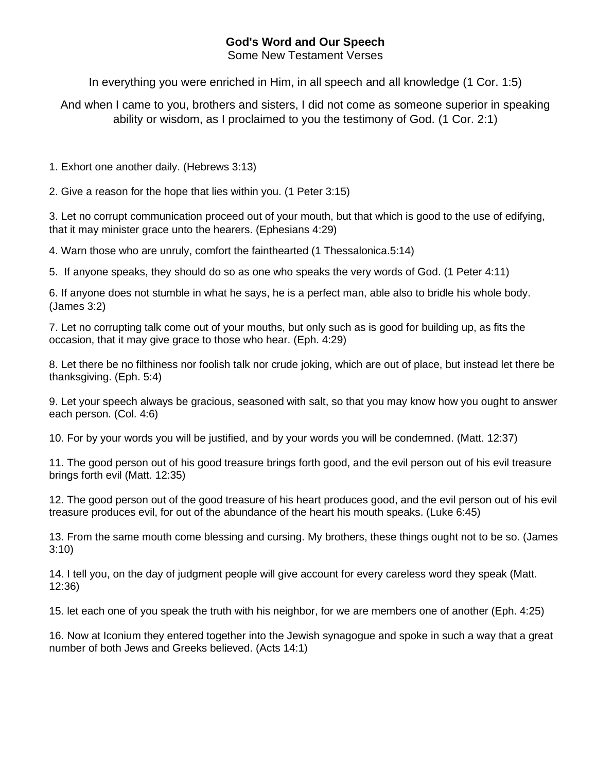## **God's Word and Our Speech**

Some New Testament Verses

In everything you were enriched in Him, in all speech and all knowledge (1 Cor. 1:5)

And when I came to you, brothers and sisters, I did not come as someone superior in speaking ability or wisdom, as I proclaimed to you the testimony of God. (1 Cor. 2:1)

1. Exhort one another daily. (Hebrews 3:13)

2. Give a reason for the hope that lies within you. (1 Peter 3:15)

3. Let no corrupt communication proceed out of your mouth, but that which is good to the use of edifying, that it may minister grace unto the hearers. (Ephesians 4:29)

4. Warn those who are unruly, comfort the fainthearted (1 Thessalonica.5:14)

5. If anyone speaks, they should do so as one who speaks the very words of God. (1 Peter 4:11)

6. If anyone does not stumble in what he says, he is a perfect man, able also to bridle his whole body. (James 3:2)

7. Let no corrupting talk come out of your mouths, but only such as is good for building up, as fits the occasion, that it may give grace to those who hear. (Eph. 4:29)

8. Let there be no filthiness nor foolish talk nor crude joking, which are out of place, but instead let there be thanksgiving. (Eph. 5:4)

9. Let your speech always be gracious, seasoned with salt, so that you may know how you ought to answer each person. (Col. 4:6)

10. For by your words you will be justified, and by your words you will be condemned. (Matt. 12:37)

11. The good person out of his good treasure brings forth good, and the evil person out of his evil treasure brings forth evil (Matt. 12:35)

12. The good person out of the good treasure of his heart produces good, and the evil person out of his evil treasure produces evil, for out of the abundance of the heart his mouth speaks. (Luke 6:45)

13. From the same mouth come blessing and cursing. My brothers, these things ought not to be so. (James 3:10)

14. I tell you, on the day of judgment people will give account for every careless word they speak (Matt. 12:36)

15. let each one of you speak the truth with his neighbor, for we are members one of another (Eph. 4:25)

16. Now at Iconium they entered together into the Jewish synagogue and spoke in such a way that a great number of both Jews and Greeks believed. (Acts 14:1)